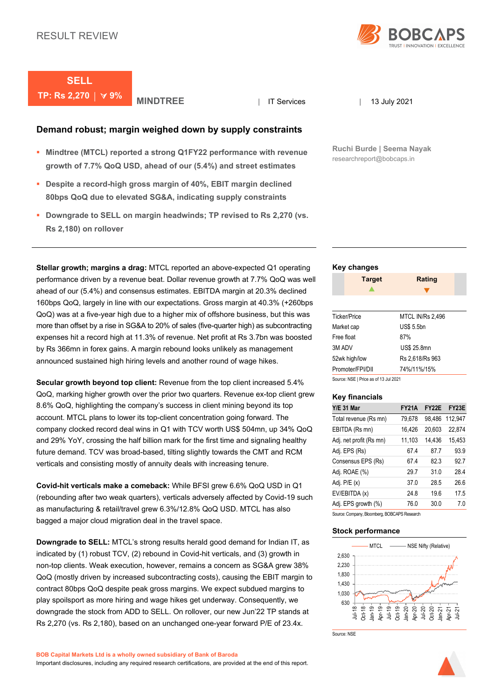

# **SELL TP: Rs 2,270 │ ∀ 9% │ MINDTREE** │ IT Services │ 13 July 2021

### **Demand robust; margin weighed down by supply constraints**

- **Mindtree (MTCL) reported a strong Q1FY22 performance with revenue growth of 7.7% QoQ USD, ahead of our (5.4%) and street estimates**
- **Despite a record-high gross margin of 40%, EBIT margin declined 80bps QoQ due to elevated SG&A, indicating supply constraints**
- **Downgrade to SELL on margin headwinds; TP revised to Rs 2,270 (vs. Rs 2,180) on rollover**

**Stellar growth; margins a drag:** MTCL reported an above-expected Q1 operating performance driven by a revenue beat. Dollar revenue growth at 7.7% QoQ was well ahead of our (5.4%) and consensus estimates. EBITDA margin at 20.3% declined 160bps QoQ, largely in line with our expectations. Gross margin at 40.3% (+260bps QoQ) was at a five-year high due to a higher mix of offshore business, but this was more than offset by a rise in SG&A to 20% of sales (five-quarter high) as subcontracting expenses hit a record high at 11.3% of revenue. Net profit at Rs 3.7bn was boosted by Rs 366mn in forex gains. A margin rebound looks unlikely as management announced sustained high hiring levels and another round of wage hikes.

**Secular growth beyond top client:** Revenue from the top client increased 5.4% QoQ, marking higher growth over the prior two quarters. Revenue ex-top client grew 8.6% QoQ, highlighting the company's success in client mining beyond its top account. MTCL plans to lower its top-client concentration going forward. The company clocked record deal wins in Q1 with TCV worth US\$ 504mn, up 34% QoQ and 29% YoY, crossing the half billion mark for the first time and signaling healthy future demand. TCV was broad-based, tilting slightly towards the CMT and RCM verticals and consisting mostly of annuity deals with increasing tenure.

**Covid-hit verticals make a comeback:** While BFSI grew 6.6% QoQ USD in Q1 (rebounding after two weak quarters), verticals adversely affected by Covid-19 such as manufacturing & retail/travel grew 6.3%/12.8% QoQ USD. MTCL has also bagged a major cloud migration deal in the travel space.

**Downgrade to SELL:** MTCL's strong results herald good demand for Indian IT, as indicated by (1) robust TCV, (2) rebound in Covid-hit verticals, and (3) growth in non-top clients. Weak execution, however, remains a concern as SG&A grew 38% QoQ (mostly driven by increased subcontracting costs), causing the EBIT margin to contract 80bps QoQ despite peak gross margins. We expect subdued margins to play spoilsport as more hiring and wage hikes get underway. Consequently, we downgrade the stock from ADD to SELL. On rollover, our new Jun'22 TP stands at Rs 2,270 (vs. Rs 2,180), based on an unchanged one-year forward P/E of 23.4x.

Source: NSE

**Ruchi Burde | Seema Nayak** researchreport@bobcaps.in

### **Key changes**

|        | <b>Target</b>       | <b>Rating</b>           |  |
|--------|---------------------|-------------------------|--|
|        |                     |                         |  |
|        |                     |                         |  |
|        | <b>Ticker/Price</b> | <b>MTCL IN/Rs 2,496</b> |  |
|        | Market cap          | <b>US\$ 5.5bn</b>       |  |
|        | Free float          | 87%                     |  |
| 3M ADV |                     | <b>US\$ 25.8mn</b>      |  |
|        | 52wk high/low       | Rs 2,618/Rs 963         |  |
|        | Promoter/FPI/DII    | 74%/11%/15%             |  |

Source: NSE | Price as of 13 Jul 2021

#### **Key financials**

| <b>Y/E 31 Mar</b>       | <b>FY21A</b> | <b>FY22E</b> | FY <sub>23</sub> E |
|-------------------------|--------------|--------------|--------------------|
| Total revenue (Rs mn)   | 79,678       | 98,486       | 112,947            |
| EBITDA (Rs mn)          | 16,426       | 20,603       | 22,874             |
| Adj. net profit (Rs mn) | 11,103       | 14,436       | 15,453             |
| Adj. EPS (Rs)           | 674          | 877          | 93.9               |
| Consensus EPS (Rs)      | 674          | 823          | 92.7               |
| Adj. ROAE (%)           | 297          | 310          | 284                |
| Adj. P/E (x)            | 37.0         | 28.5         | 26.6               |
| EV/EBITDA (x)           | 248          | 196          | 17.5               |
| Adj. EPS growth (%)     | 76.0         | 30.0         | 7.0                |

Source: Company, Bloomberg, BOBCAPS Research

### **Stock performance**



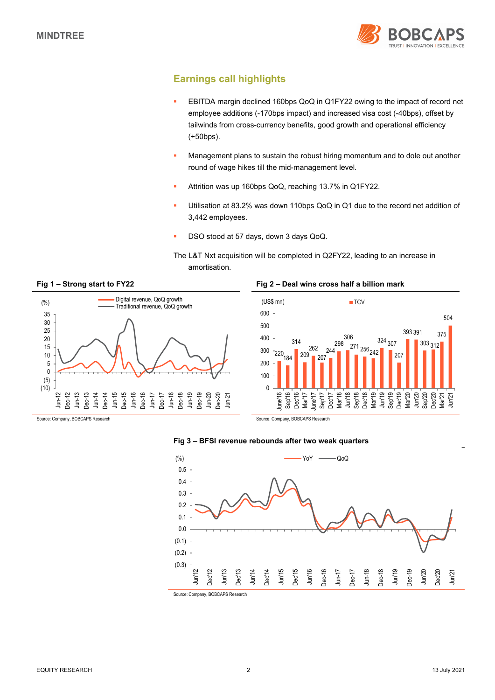

## **Earnings call highlights**

- EBITDA margin declined 160bps QoQ in Q1FY22 owing to the impact of record net employee additions (-170bps impact) and increased visa cost (-40bps), offset by tailwinds from cross-currency benefits, good growth and operational efficiency (+50bps).
- Management plans to sustain the robust hiring momentum and to dole out another round of wage hikes till the mid-management level.
- Attrition was up 160bps QoQ, reaching 13.7% in Q1FY22.
- Utilisation at 83.2% was down 110bps QoQ in Q1 due to the record net addition of 3,442 employees.
- DSO stood at 57 days, down 3 days QoQ.

The L&T Nxt acquisition will be completed in Q2FY22, leading to an increase in amortisation.



### **Fig 1 – Strong start to FY22 Fig 2 – Deal wins cross half a billion mark**



**Fig 3 – BFSI revenue rebounds after two weak quarters** 

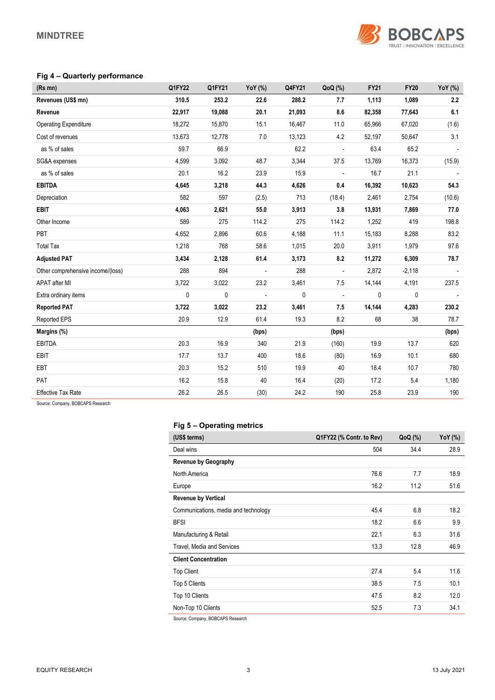

### **Fig 4 – Quarterly performance**

| $(Rs$ mn $)$                      | Q1FY22 | Q1FY21    | YoY (%)                  | Q4FY21 | QoQ (%)                  | <b>FY21</b> | <b>FY20</b> | YoY (%) |
|-----------------------------------|--------|-----------|--------------------------|--------|--------------------------|-------------|-------------|---------|
| Revenues (US\$ mn)                | 310.5  | 253.2     | 22.6                     | 288.2  | 7.7                      | 1,113       | 1,089       | 2.2     |
| Revenue                           | 22,917 | 19,088    | 20.1                     | 21,093 | 8.6                      | 82,358      | 77,643      | 6.1     |
| <b>Operating Expenditure</b>      | 18,272 | 15,870    | 15.1                     | 16,467 | 11.0                     | 65,966      | 67,020      | (1.6)   |
| Cost of revenues                  | 13,673 | 12,778    | 7.0                      | 13,123 | 4.2                      | 52,197      | 50,647      | 3.1     |
| as % of sales                     | 59.7   | 66.9      |                          | 62.2   | $\blacksquare$           | 63.4        | 65.2        |         |
| SG&A expenses                     | 4,599  | 3,092     | 48.7                     | 3,344  | 37.5                     | 13,769      | 16,373      | (15.9)  |
| as % of sales                     | 20.1   | 16.2      | 23.9                     | 15.9   |                          | 16.7        | 21.1        |         |
| <b>EBITDA</b>                     | 4,645  | 3,218     | 44.3                     | 4,626  | 0.4                      | 16,392      | 10,623      | 54.3    |
| Depreciation                      | 582    | 597       | (2.5)                    | 713    | (18.4)                   | 2,461       | 2,754       | (10.6)  |
| <b>EBIT</b>                       | 4,063  | 2,621     | 55.0                     | 3,913  | 3.8                      | 13,931      | 7,869       | 77.0    |
| Other Income                      | 589    | 275       | 114.2                    | 275    | 114.2                    | 1,252       | 419         | 198.8   |
| PBT                               | 4,652  | 2,896     | 60.6                     | 4,188  | 11.1                     | 15,183      | 8,288       | 83.2    |
| <b>Total Tax</b>                  | 1,218  | 768       | 58.6                     | 1,015  | 20.0                     | 3,911       | 1,979       | 97.6    |
| <b>Adjusted PAT</b>               | 3,434  | 2,128     | 61.4                     | 3,173  | 8.2                      | 11,272      | 6,309       | 78.7    |
| Other comprehensive income/(loss) | 288    | 894       | $\overline{\phantom{a}}$ | 288    | $\overline{\phantom{a}}$ | 2,872       | $-2,118$    |         |
| <b>APAT after MI</b>              | 3,722  | 3,022     | 23.2                     | 3,461  | 7.5                      | 14,144      | 4,191       | 237.5   |
| Extra ordinary items              | 0      | $\pmb{0}$ | $\overline{a}$           | 0      | $\overline{\phantom{a}}$ | 0           | 0           |         |
| <b>Reported PAT</b>               | 3,722  | 3,022     | 23.2                     | 3,461  | 7.5                      | 14,144      | 4,283       | 230.2   |
| Reported EPS                      | 20.9   | 12.9      | 61.4                     | 19.3   | 8.2                      | 68          | 38          | 78.7    |
| Margins (%)                       |        |           | (bps)                    |        | (bps)                    |             |             | (bps)   |
| <b>EBITDA</b>                     | 20.3   | 16.9      | 340                      | 21.9   | (160)                    | 19.9        | 13.7        | 620     |
| <b>EBIT</b>                       | 17.7   | 13.7      | 400                      | 18.6   | (80)                     | 16.9        | 10.1        | 680     |
| EBT                               | 20.3   | 15.2      | 510                      | 19.9   | 40                       | 18.4        | 10.7        | 780     |
| PAT                               | 16.2   | 15.8      | 40                       | 16.4   | (20)                     | 17.2        | 5.4         | 1,180   |
| <b>Effective Tax Rate</b>         | 26.2   | 26.5      | (30)                     | 24.2   | 190                      | 25.8        | 23.9        | 190     |

Source: Company, BOBCAPS Research

### **Fig 5 – Operating metrics**

| (US\$ terms)                         | Q1FY22 (% Contr. to Rev) | $QoQ$ (%) | YoY (%) |
|--------------------------------------|--------------------------|-----------|---------|
| Deal wins                            | 504                      | 34.4      | 28.9    |
| <b>Revenue by Geography</b>          |                          |           |         |
| North America                        | 76.6                     | 7.7       | 18.9    |
| Europe                               | 16.2                     | 11.2      | 51.6    |
| <b>Revenue by Vertical</b>           |                          |           |         |
| Communications, media and technology | 45.4                     | 6.8       | 18.2    |
| <b>BFSI</b>                          | 18.2                     | 6.6       | 9.9     |
| Manufacturing & Retail               | 22.1                     | 6.3       | 31.6    |
| Travel, Media and Services           | 13.3                     | 12.8      | 46.9    |
| <b>Client Concentration</b>          |                          |           |         |
| <b>Top Client</b>                    | 27.4                     | 5.4       | 11.6    |
| Top 5 Clients                        | 38.5                     | 7.5       | 10.1    |
| Top 10 Clients                       | 47.5                     | 8.2       | 12.0    |
| Non-Top 10 Clients                   | 52.5                     | 7.3       | 34.1    |

Source: Company, BOBCAPS Research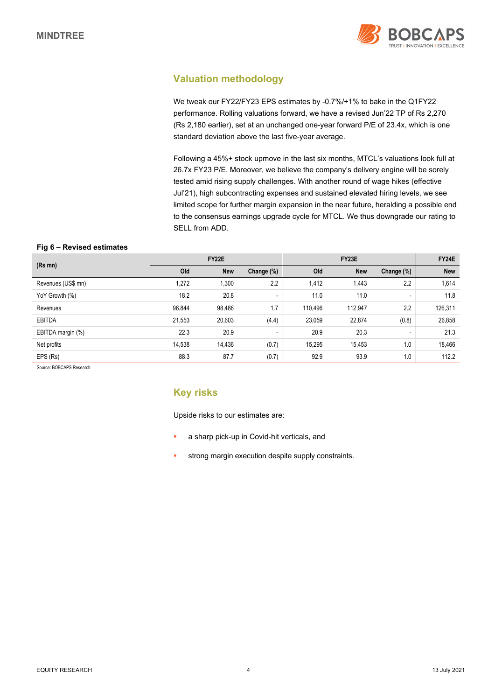

## **Valuation methodology**

We tweak our FY22/FY23 EPS estimates by -0.7%/+1% to bake in the Q1FY22 performance. Rolling valuations forward, we have a revised Jun'22 TP of Rs 2,270 (Rs 2,180 earlier), set at an unchanged one-year forward P/E of 23.4x, which is one standard deviation above the last five-year average.

Following a 45%+ stock upmove in the last six months, MTCL's valuations look full at 26.7x FY23 P/E. Moreover, we believe the company's delivery engine will be sorely tested amid rising supply challenges. With another round of wage hikes (effective Jul'21), high subcontracting expenses and sustained elevated hiring levels, we see limited scope for further margin expansion in the near future, heralding a possible end to the consensus earnings upgrade cycle for MTCL. We thus downgrade our rating to SELL from ADD.

### **Fig 6 – Revised estimates**

|                    | FY22E  |            |                          |         | FY24E      |                          |            |
|--------------------|--------|------------|--------------------------|---------|------------|--------------------------|------------|
| $(Rs$ mn $)$       | Old    | <b>New</b> | Change (%)               | Old     | <b>New</b> | Change (%)               | <b>New</b> |
| Revenues (US\$ mn) | 1,272  | 1,300      | 2.2                      | 1,412   | 1,443      | 2.2                      | 1,614      |
| YoY Growth (%)     | 18.2   | 20.8       | $\overline{\phantom{a}}$ | 11.0    | 11.0       | $\overline{\phantom{a}}$ | 11.8       |
| Revenues           | 96,844 | 98,486     | 1.7                      | 110,496 | 112,947    | 2.2                      | 126,311    |
| <b>EBITDA</b>      | 21,553 | 20,603     | (4.4)                    | 23,059  | 22,874     | (0.8)                    | 26,858     |
| EBITDA margin (%)  | 22.3   | 20.9       | -                        | 20.9    | 20.3       | $\overline{\phantom{0}}$ | 21.3       |
| Net profits        | 14,538 | 14,436     | (0.7)                    | 15.295  | 15,453     | 1.0                      | 18,466     |
| EPS (Rs)           | 88.3   | 87.7       | (0.7)                    | 92.9    | 93.9       | 1.0                      | 112.2      |

Source: BOBCAPS Research

### **Key risks**

Upside risks to our estimates are:

- a sharp pick-up in Covid-hit verticals, and
- strong margin execution despite supply constraints.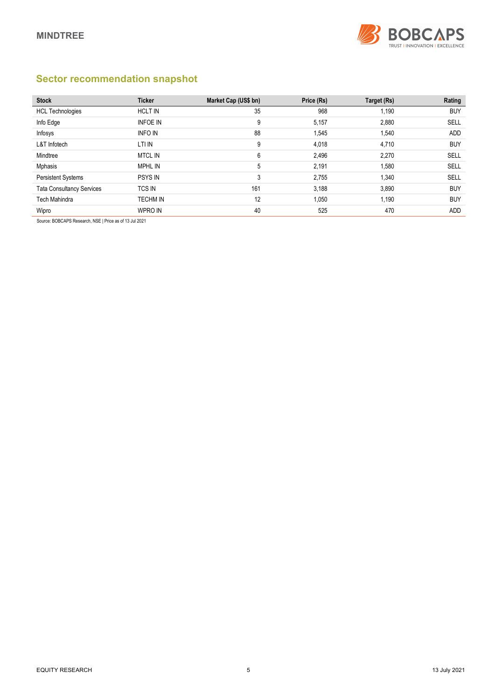

## **Sector recommendation snapshot**

| <b>Stock</b>                     | <b>Ticker</b>   | Market Cap (US\$ bn) | Price (Rs) | Target (Rs) | Rating     |
|----------------------------------|-----------------|----------------------|------------|-------------|------------|
| <b>HCL Technologies</b>          | <b>HCLT IN</b>  | 35                   | 968        | 1,190       | <b>BUY</b> |
| Info Edge                        | <b>INFOE IN</b> | 9                    | 5,157      | 2,880       | SELL       |
| Infosys                          | <b>INFO IN</b>  | 88                   | 1,545      | 1,540       | <b>ADD</b> |
| <b>L&amp;T</b> Infotech          | LTI IN          | 9                    | 4,018      | 4,710       | <b>BUY</b> |
| Mindtree                         | <b>MTCL IN</b>  | 6                    | 2,496      | 2,270       | SELL       |
| Mphasis                          | MPHL IN         | 5                    | 2,191      | 1,580       | SELL       |
| <b>Persistent Systems</b>        | <b>PSYS IN</b>  | 3                    | 2,755      | 1,340       | SELL       |
| <b>Tata Consultancy Services</b> | <b>TCS IN</b>   | 161                  | 3,188      | 3,890       | <b>BUY</b> |
| Tech Mahindra                    | <b>TECHM IN</b> | 12                   | 1,050      | 1,190       | <b>BUY</b> |
| Wipro                            | <b>WPRO IN</b>  | 40                   | 525        | 470         | ADD        |

Source: BOBCAPS Research, NSE | Price as of 13 Jul 2021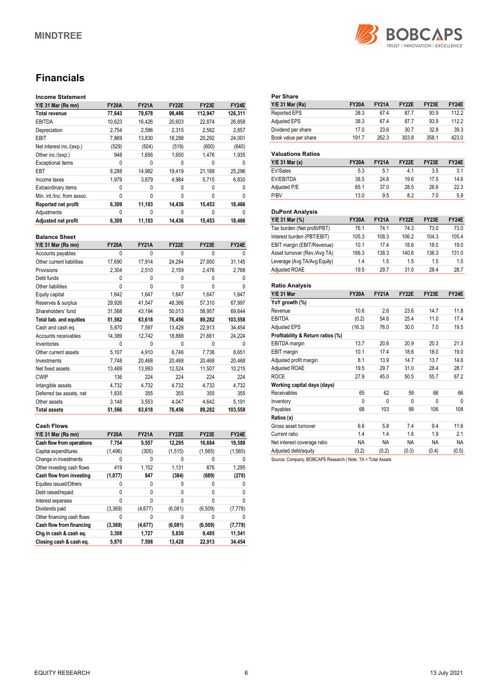

## **Financials**

### **Income Statement**

| Y/E 31 Mar (Rs mn)         | <b>FY20A</b> | <b>FY21A</b> | <b>FY22E</b> | FY23E   | FY24E   |
|----------------------------|--------------|--------------|--------------|---------|---------|
| Total revenue              | 77,643       | 79,678       | 98,486       | 112,947 | 126,311 |
| <b>EBITDA</b>              | 10,623       | 16,426       | 20,603       | 22,874  | 26,858  |
| Depreciation               | 2.754        | 2.596        | 2.315        | 2.582   | 2,857   |
| EBIT                       | 7.869        | 13.830       | 18,288       | 20,292  | 24.001  |
| Net interest inc./(exp.)   | (529)        | (504)        | (519)        | (600)   | (640)   |
| Other inc./(exp.)          | 948          | 1.656        | 1.650        | 1.476   | 1,935   |
| <b>Exceptional items</b>   | 0            | 0            | U            |         |         |
| EBT                        | 8,288        | 14.982       | 19.419       | 21,168  | 25,296  |
| Income taxes               | 1.979        | 3.879        | 4.984        | 5.715   | 6.830   |
| Extraordinary items        | 0            | 0            | 0            | Ω       |         |
| Min. int./Inc. from assoc. | 0            | 0            | 0            | ŋ       | U       |
| Reported net profit        | 6.309        | 11,103       | 14.436       | 15,453  | 18.466  |
| Adjustments                | 0            | 0            | 0            | Ω       | U       |
| Adjusted net profit        | 6.309        | 11,103       | 14.436       | 15.453  | 18.466  |

### **Balance Sheet**

| Y/E 31 Mar (Rs mn)              | <b>FY20A</b> | <b>FY21A</b> | FY22E  | FY23E    | FY24E        |
|---------------------------------|--------------|--------------|--------|----------|--------------|
| Accounts payables               | 0            | 0            | 0      | 0        | 0            |
| Other current liabilities       | 17,690       | 17,914       | 24,284 | 27,850   | 31,145       |
| Provisions                      | 2,304        | 2,510        | 2,159  | 2,476    | 2,768        |
| Debt funds                      | 0            | 0            | 0      | 0        | U            |
| Other liabilities               | $\mathbf{0}$ | 0            | 0      | 0        | 0            |
| Equity capital                  | 1,642        | 1,647        | 1,647  | 1,647    | 1,647        |
| Reserves & surplus              | 29,926       | 41,547       | 48,366 | 57,310   | 67,997       |
| Shareholders' fund              | 31,568       | 43,194       | 50,013 | 58,957   | 69,644       |
| <b>Total liab. and equities</b> | 51,562       | 63,618       | 76,456 | 89,282   | 103,558      |
| Cash and cash eq.               | 5,870        | 7,597        | 13,428 | 22,913   | 34,454       |
| Accounts receivables            | 14,389       | 12,742       | 18,888 | 21,661   | 24,224       |
| Inventories                     | $\mathbf{0}$ | 0            | 0      | $\Omega$ | <sup>0</sup> |
| Other current assets            | 5,107        | 4,910        | 6,746  | 7,736    | 8,651        |
| Investments                     | 7.748        | 20,468       | 20,468 | 20,468   | 20,468       |
| Net fixed assets                | 13,469       | 13,993       | 12,524 | 11,507   | 10,215       |
| <b>CWIP</b>                     | 136          | 224          | 224    | 224      | 224          |
| Intangible assets               | 4,732        | 4,732        | 4,732  | 4,732    | 4,732        |
| Deferred tax assets, net        | 1,835        | 355          | 355    | 355      | 355          |
| Other assets                    | 3.148        | 3,553        | 4,047  | 4,642    | 5,191        |
| <b>Total assets</b>             | 51,566       | 63,618       | 76,456 | 89,282   | 103,558      |

#### **Cash Flows**

| $Y/E$ 31 Mar (Rs mn)       | <b>FY20A</b> | <b>FY21A</b> | FY22E   | FY23E    | FY24E    |
|----------------------------|--------------|--------------|---------|----------|----------|
| Cash flow from operations  | 7,754        | 5,557        | 12,295  | 16,684   | 19,589   |
| Capital expenditures       | (1, 496)     | (305)        | (1,515) | (1, 565) | (1, 565) |
| Change in investments      | 0            |              | 0       |          | 0        |
| Other investing cash flows | 419          | 1,152        | 1,131   | 876      | 1,295    |
| Cash flow from investing   | (1,077)      | 847          | (384)   | (689)    | (270)    |
| Equities issued/Others     | 0            | 0            | 0       |          | 0        |
| Debt raised/repaid         | 0            |              | 0       | 0        | 0        |
| Interest expenses          | 0            | 0            | 0       | 0        | 0        |
| Dividends paid             | (3,369)      | (4,677)      | (6,081) | (6, 509) | (7, 778) |
| Other financing cash flows | 0            | 0            | 0       |          | 0        |
| Cash flow from financing   | (3, 369)     | (4,677)      | (6,081) | (6,509)  | (7, 778) |
| Chg in cash & cash eq.     | 3,308        | 1,727        | 5,830   | 9,485    | 11,541   |
| Closing cash & cash eq.    | 5,870        | 7,598        | 13.428  | 22.913   | 34.454   |

| <b>Y/E 31 Mar (Rs)</b>            | <b>FY20A</b> | <b>FY21A</b> | FY22E | FY23E | FY24E |
|-----------------------------------|--------------|--------------|-------|-------|-------|
| <b>Reported EPS</b>               | 38.3         | 67.4         | 87.7  | 93.9  | 112.2 |
| <b>Adjusted EPS</b>               | 38.3         | 67.4         | 87.7  | 93.9  | 112.2 |
| Dividend per share                | 17.0         | 23.6         | 30.7  | 32.8  | 39.3  |
| Book value per share              | 191.7        | 262.3        | 303.8 | 358.1 | 423.0 |
| <b>Valuations Ratios</b>          |              |              |       |       |       |
| $Y/E$ 31 Mar $(x)$                | <b>FY20A</b> | <b>FY21A</b> | FY22E | FY23E | FY24E |
| <b>EV/Sales</b>                   | 5.3          | 5.1          | 4.1   | 3.5   | 3.1   |
| EV/EBITDA                         | 38.5         | 24.8         | 19.6  | 17.5  | 14.6  |
| Adjusted P/E                      | 65.1         | 37.0         | 28.5  | 26.6  | 22.3  |
| P/BV                              | 13.0         | 9.5          | 8.2   | 7.0   | 5.9   |
| <b>DuPont Analysis</b>            |              |              |       |       |       |
| Y/E 31 Mar (%)                    | <b>FY20A</b> | <b>FY21A</b> | FY22E | FY23E | FY24E |
| Tax burden (Net profit/PBT)       | 76.1         | 74.1         | 74.3  | 73.0  | 73.0  |
| Interest burden (PBT/EBIT)        | 105.3        | 108.3        | 106.2 | 104.3 | 105.4 |
| EBIT margin (EBIT/Revenue)        | 10.1         | 17.4         | 18.6  | 18.0  | 19.0  |
| Asset turnover (Rev./Avg TA)      | 166.3        | 138.3        | 140.6 | 136.3 | 131.0 |
| Leverage (Avg TA/Avg Equity)      | 1.4          | 1.5          | 1.5   | 1.5   | 1.5   |
| Adjusted ROAE                     | 19.5         | 29.7         | 31.0  | 28.4  | 28.7  |
| <b>Ratio Analysis</b>             |              |              |       |       |       |
| <b>Y/E 31 Mar</b>                 | <b>FY20A</b> | <b>FY21A</b> | FY22E | FY23E | FY24E |
| YoY growth (%)                    |              |              |       |       |       |
| Revenue                           | 10.6         | 2.6          | 23.6  | 14.7  | 11.8  |
| EBITDA                            | (0.2)        | 54.6         | 25.4  | 11.0  | 17.4  |
| Adjusted EPS                      | (16.3)       | 76.0         | 30.0  | 7.0   | 19.5  |
| Profitability & Return ratios (%) |              |              |       |       |       |
| EBITDA margin                     | 13.7         | 20.6         | 20.9  | 20.3  | 21.3  |
| <b>EBIT</b> margin                | 10.1         | 17.4         | 18.6  | 18.0  | 19.0  |
| Adjusted profit margin            | 8.1          | 13.9         | 14.7  | 13.7  | 14.6  |
| Adjusted ROAE                     | 19.5         | 29.7         | 31.0  | 28.4  | 28.7  |
| <b>ROCE</b>                       | 27.9         | 45.0         | 50.5  | 55.7  | 67.2  |
| Working capital days (days)       |              |              |       |       |       |
| Receivables                       | 65           | 62           | 59    | 66    | 66    |
| Inventory                         | $\mathbf{0}$ | 0            | 0     | 0     | 0     |
| Payables                          | 68           | 103          | 99    | 106   | 108   |
| Ratios (x)                        |              |              |       |       |       |
|                                   |              |              |       |       |       |
| Gross asset turnover              | 6.6          | 5.8          | 7.4   | 9.4   | 11.6  |
| Current ratio                     | 1.4          | 1.4          | 1.6   | 1.9   | 2.1   |

Source: Company, BOBCAPS Research | Note: TA = Total Assets

Adjusted debt/equity (0.2) (0.2) (0.3) (0.4) (0.5)

Net interest coverage ratio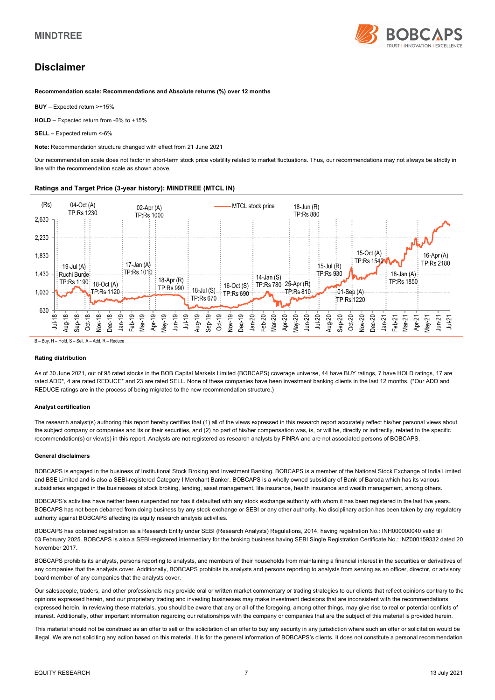

## **Disclaimer**

**Recommendation scale: Recommendations and Absolute returns (%) over 12 months** 

**BUY** – Expected return >+15%

**HOLD** – Expected return from -6% to +15%

**SELL** – Expected return <-6%

**Note:** Recommendation structure changed with effect from 21 June 2021

Our recommendation scale does not factor in short-term stock price volatility related to market fluctuations. Thus, our recommendations may not always be strictly in line with the recommendation scale as shown above.

### **Ratings and Target Price (3-year history): MINDTREE (MTCL IN)**



B – Buy, H – Hold, S – Sell, A – Add, R – Reduce

#### **Rating distribution**

As of 30 June 2021, out of 95 rated stocks in the BOB Capital Markets Limited (BOBCAPS) coverage universe, 44 have BUY ratings, 7 have HOLD ratings, 17 are rated ADD<sup>\*</sup>, 4 are rated REDUCE<sup>\*</sup> and 23 are rated SELL. None of these companies have been investment banking clients in the last 12 months. (\*Our ADD and REDUCE ratings are in the process of being migrated to the new recommendation structure.)

#### **Analyst certification**

The research analyst(s) authoring this report hereby certifies that (1) all of the views expressed in this research report accurately reflect his/her personal views about the subject company or companies and its or their securities, and (2) no part of his/her compensation was, is, or will be, directly or indirectly, related to the specific recommendation(s) or view(s) in this report. Analysts are not registered as research analysts by FINRA and are not associated persons of BOBCAPS.

#### **General disclaimers**

BOBCAPS is engaged in the business of Institutional Stock Broking and Investment Banking. BOBCAPS is a member of the National Stock Exchange of India Limited and BSE Limited and is also a SEBI-registered Category I Merchant Banker. BOBCAPS is a wholly owned subsidiary of Bank of Baroda which has its various subsidiaries engaged in the businesses of stock broking, lending, asset management, life insurance, health insurance and wealth management, among others.

BOBCAPS's activities have neither been suspended nor has it defaulted with any stock exchange authority with whom it has been registered in the last five years. BOBCAPS has not been debarred from doing business by any stock exchange or SEBI or any other authority. No disciplinary action has been taken by any regulatory authority against BOBCAPS affecting its equity research analysis activities.

BOBCAPS has obtained registration as a Research Entity under SEBI (Research Analysts) Regulations, 2014, having registration No.: INH000000040 valid till 03 February 2025. BOBCAPS is also a SEBI-registered intermediary for the broking business having SEBI Single Registration Certificate No.: INZ000159332 dated 20 November 2017.

BOBCAPS prohibits its analysts, persons reporting to analysts, and members of their households from maintaining a financial interest in the securities or derivatives of any companies that the analysts cover. Additionally, BOBCAPS prohibits its analysts and persons reporting to analysts from serving as an officer, director, or advisory board member of any companies that the analysts cover.

Our salespeople, traders, and other professionals may provide oral or written market commentary or trading strategies to our clients that reflect opinions contrary to the opinions expressed herein, and our proprietary trading and investing businesses may make investment decisions that are inconsistent with the recommendations expressed herein. In reviewing these materials, you should be aware that any or all of the foregoing, among other things, may give rise to real or potential conflicts of interest. Additionally, other important information regarding our relationships with the company or companies that are the subject of this material is provided herein.

This material should not be construed as an offer to sell or the solicitation of an offer to buy any security in any jurisdiction where such an offer or solicitation would be illegal. We are not soliciting any action based on this material. It is for the general information of BOBCAPS's clients. It does not constitute a personal recommendation